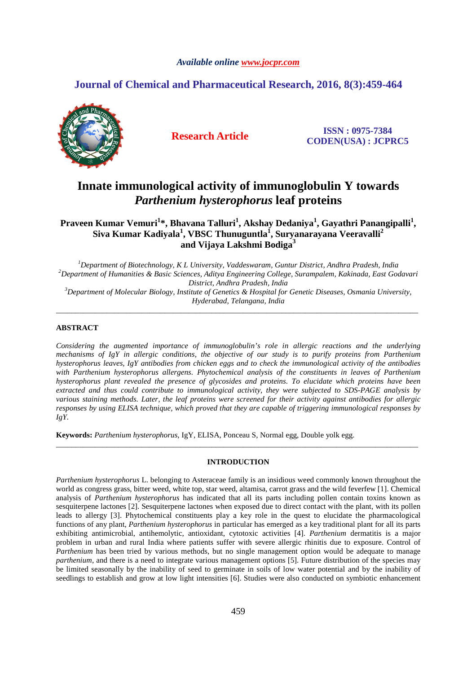# *Available online www.jocpr.com*

# **Journal of Chemical and Pharmaceutical Research, 2016, 8(3):459-464**



**Research Article ISSN : 0975-7384 CODEN(USA) : JCPRC5**

# **Innate immunological activity of immunoglobulin Y towards**  *Parthenium hysterophorus* **leaf proteins**

**Praveen Kumar Vemuri<sup>1</sup> \*, Bhavana Talluri<sup>1</sup> , Akshay Dedaniya<sup>1</sup> , Gayathri Panangipalli<sup>1</sup> , Siva Kumar Kadiyala<sup>1</sup> , VBSC Thunuguntla<sup>1</sup> , Suryanarayana Veeravalli<sup>2</sup> and Vijaya Lakshmi Bodiga<sup>3</sup>**

*<sup>1</sup>Department of Biotechnology, K L University, Vaddeswaram, Guntur District, Andhra Pradesh, India <sup>2</sup>Department of Humanities & Basic Sciences, Aditya Engineering College, Surampalem, Kakinada, East Godavari District, Andhra Pradesh, India <sup>3</sup>Department of Molecular Biology, Institute of Genetics & Hospital for Genetic Diseases, Osmania University, Hyderabad, Telangana, India* 

\_\_\_\_\_\_\_\_\_\_\_\_\_\_\_\_\_\_\_\_\_\_\_\_\_\_\_\_\_\_\_\_\_\_\_\_\_\_\_\_\_\_\_\_\_\_\_\_\_\_\_\_\_\_\_\_\_\_\_\_\_\_\_\_\_\_\_\_\_\_\_\_\_\_\_\_\_\_\_\_\_\_\_\_\_\_\_\_\_\_\_\_\_

# **ABSTRACT**

*Considering the augmented importance of immunoglobulin's role in allergic reactions and the underlying mechanisms of IgY in allergic conditions, the objective of our study is to purify proteins from Parthenium hysterophorus leaves, IgY antibodies from chicken eggs and to check the immunological activity of the antibodies with Parthenium hysterophorus allergens. Phytochemical analysis of the constituents in leaves of Parthenium hysterophorus plant revealed the presence of glycosides and proteins. To elucidate which proteins have been extracted and thus could contribute to immunological activity, they were subjected to SDS-PAGE analysis by various staining methods. Later, the leaf proteins were screened for their activity against antibodies for allergic responses by using ELISA technique, which proved that they are capable of triggering immunological responses by IgY.* 

**Keywords:** *Parthenium hysterophorus,* IgY, ELISA, Ponceau S, Normal egg, Double yolk egg.

## **INTRODUCTION**

\_\_\_\_\_\_\_\_\_\_\_\_\_\_\_\_\_\_\_\_\_\_\_\_\_\_\_\_\_\_\_\_\_\_\_\_\_\_\_\_\_\_\_\_\_\_\_\_\_\_\_\_\_\_\_\_\_\_\_\_\_\_\_\_\_\_\_\_\_\_\_\_\_\_\_\_\_\_\_\_\_\_\_\_\_\_\_\_\_\_\_\_\_

*Parthenium hysterophorus* L. belonging to Asteraceae family is an insidious weed commonly known throughout the world as congress grass, bitter weed, white top, star weed, altamisa, carrot grass and the wild feverfew [1]. Chemical analysis of *Parthenium hysterophorus* has indicated that all its parts including pollen contain toxins known as sesquiterpene lactones [2]. Sesquiterpene lactones when exposed due to direct contact with the plant, with its pollen leads to allergy [3]. Phytochemical constituents play a key role in the quest to elucidate the pharmacological functions of any plant, *Parthenium hysterophorus* in particular has emerged as a key traditional plant for all its parts exhibiting antimicrobial, antihemolytic, antioxidant, cytotoxic activities [4]. *Parthenium* dermatitis is a major problem in urban and rural India where patients suffer with severe allergic rhinitis due to exposure. Control of *Parthenium* has been tried by various methods, but no single management option would be adequate to manage *parthenium*, and there is a need to integrate various management options [5]. Future distribution of the species may be limited seasonally by the inability of seed to germinate in soils of low water potential and by the inability of seedlings to establish and grow at low light intensities [6]. Studies were also conducted on symbiotic enhancement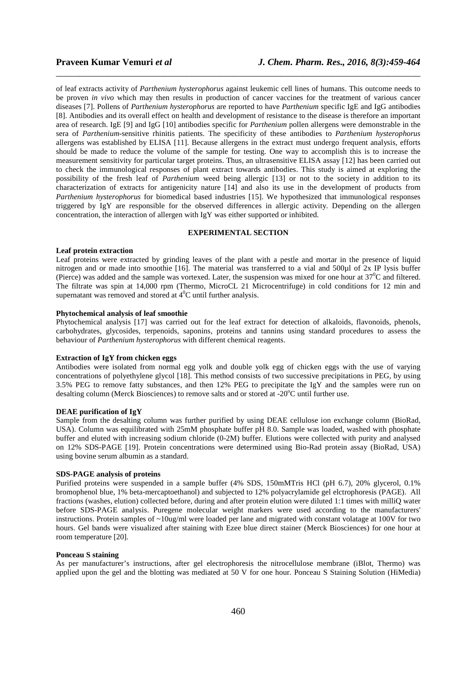of leaf extracts activity of *Parthenium hysterophorus* against leukemic cell lines of humans. This outcome needs to be proven *in vivo* which may then results in production of cancer vaccines for the treatment of various cancer diseases [7]. Pollens of *Parthenium hysterophorus* are reported to have *Parthenium* specific IgE and IgG antibodies [8]. Antibodies and its overall effect on health and development of resistance to the disease is therefore an important area of research. IgE [9] and IgG [10] antibodies specific for *Parthenium* pollen allergens were demonstrable in the sera of *Parthenium*-sensitive rhinitis patients. The specificity of these antibodies to *Parthenium hysterophorus* allergens was established by ELISA [11]. Because allergens in the extract must undergo frequent analysis, efforts should be made to reduce the volume of the sample for testing. One way to accomplish this is to increase the measurement sensitivity for particular target proteins. Thus, an ultrasensitive ELISA assay [12] has been carried out to check the immunological responses of plant extract towards antibodies. This study is aimed at exploring the possibility of the fresh leaf of *Parthenium* weed being allergic [13] or not to the society in addition to its characterization of extracts for antigenicity nature [14] and also its use in the development of products from *Parthenium hysterophorus* for biomedical based industries [15]. We hypothesized that immunological responses triggered by IgY are responsible for the observed differences in allergic activity. Depending on the allergen concentration, the interaction of allergen with IgY was either supported or inhibited.

\_\_\_\_\_\_\_\_\_\_\_\_\_\_\_\_\_\_\_\_\_\_\_\_\_\_\_\_\_\_\_\_\_\_\_\_\_\_\_\_\_\_\_\_\_\_\_\_\_\_\_\_\_\_\_\_\_\_\_\_\_\_\_\_\_\_\_\_\_\_\_\_\_\_\_\_\_\_

# **EXPERIMENTAL SECTION**

#### **Leaf protein extraction**

Leaf proteins were extracted by grinding leaves of the plant with a pestle and mortar in the presence of liquid nitrogen and or made into smoothie [16]. The material was transferred to a vial and 500µl of 2x IP lysis buffer (Pierce) was added and the sample was vortexed. Later, the suspension was mixed for one hour at  $37^{\circ}$ C and filtered. The filtrate was spin at 14,000 rpm (Thermo, MicroCL 21 Microcentrifuge) in cold conditions for 12 min and supernatant was removed and stored at  $4^{\circ}$ C until further analysis.

#### **Phytochemical analysis of leaf smoothie**

Phytochemical analysis [17] was carried out for the leaf extract for detection of alkaloids, flavonoids, phenols, carbohydrates, glycosides, terpenoids, saponins, proteins and tannins using standard procedures to assess the behaviour of *Parthenium hysterophorus* with different chemical reagents.

### **Extraction of IgY from chicken eggs**

Antibodies were isolated from normal egg yolk and double yolk egg of chicken eggs with the use of varying concentrations of polyethylene glycol [18]. This method consists of two successive precipitations in PEG, by using 3.5% PEG to remove fatty substances, and then 12% PEG to precipitate the IgY and the samples were run on desalting column (Merck Biosciences) to remove salts and or stored at -20<sup>o</sup>C until further use.

### **DEAE purification of IgY**

Sample from the desalting column was further purified by using DEAE cellulose ion exchange column (BioRad, USA). Column was equilibrated with 25mM phosphate buffer pH 8.0. Sample was loaded, washed with phosphate buffer and eluted with increasing sodium chloride (0-2M) buffer. Elutions were collected with purity and analysed on 12% SDS-PAGE [19]. Protein concentrations were determined using Bio-Rad protein assay (BioRad, USA) using bovine serum albumin as a standard.

#### **SDS-PAGE analysis of proteins**

Purified proteins were suspended in a sample buffer (4% SDS, 150mMTris HCl (pH 6.7), 20% glycerol, 0.1% bromophenol blue, 1% beta-mercaptoethanol) and subjected to 12% polyacrylamide gel elctrophoresis (PAGE). All fractions (washes, elution) collected before, during and after protein elution were diluted 1:1 times with milliQ water before SDS-PAGE analysis. Puregene molecular weight markers were used according to the manufacturers' instructions. Protein samples of ~10ug/ml were loaded per lane and migrated with constant volatage at 100V for two hours. Gel bands were visualized after staining with Ezee blue direct stainer (Merck Biosciences) for one hour at room temperature [20].

### **Ponceau S staining**

As per manufacturer's instructions, after gel electrophoresis the nitrocellulose membrane (iBlot, Thermo) was applied upon the gel and the blotting was mediated at 50 V for one hour. Ponceau S Staining Solution (HiMedia)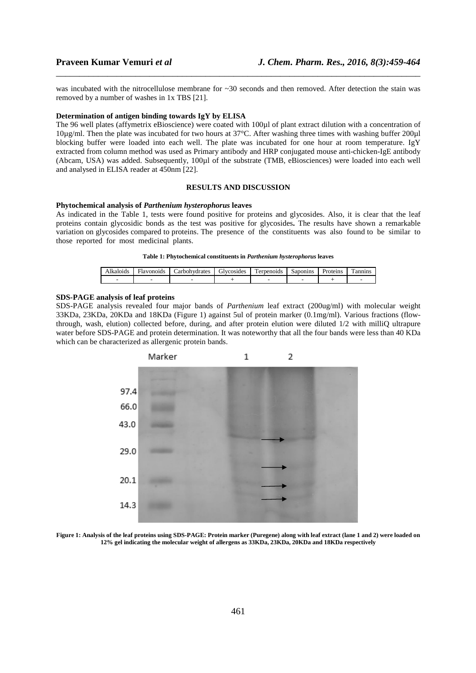was incubated with the nitrocellulose membrane for ~30 seconds and then removed. After detection the stain was removed by a number of washes in 1x TBS [21].

\_\_\_\_\_\_\_\_\_\_\_\_\_\_\_\_\_\_\_\_\_\_\_\_\_\_\_\_\_\_\_\_\_\_\_\_\_\_\_\_\_\_\_\_\_\_\_\_\_\_\_\_\_\_\_\_\_\_\_\_\_\_\_\_\_\_\_\_\_\_\_\_\_\_\_\_\_\_

#### **Determination of antigen binding towards IgY by ELISA**

The 96 well plates (affymetrix eBioscience) were coated with 100µl of plant extract dilution with a concentration of  $10\mu$ g/ml. Then the plate was incubated for two hours at 37°C. After washing three times with washing buffer 200 $\mu$ l blocking buffer were loaded into each well. The plate was incubated for one hour at room temperature. IgY extracted from column method was used as Primary antibody and HRP conjugated mouse anti-chicken-IgE antibody (Abcam, USA) was added. Subsequently, 100µl of the substrate (TMB, eBiosciences) were loaded into each well and analysed in ELISA reader at 450nm [22].

# **RESULTS AND DISCUSSION**

## **Phytochemical analysis of** *Parthenium hysterophorus* **leaves**

As indicated in the Table 1, tests were found positive for proteins and glycosides. Also, it is clear that the leaf proteins contain glycosidic bonds as the test was positive for glycosides**.** The results have shown a remarkable variation on glycosides compared to proteins. The presence of the constituents was also found to be similar to those reported for most medicinal plants.

|  |  | Table 1: Phytochemical constituents in <i>Parthenium hysterophorus</i> leaves |  |  |  |
|--|--|-------------------------------------------------------------------------------|--|--|--|
|  |  |                                                                               |  |  |  |

| kaloids | $\overline{\phantom{a}}$<br>-lavonoids | `arbohvdrates | $\sim$<br><b>diveosides</b> | m<br>. .<br>represents | Saponing | oteins<br>. | $\mathbf{r}$<br>`annins |
|---------|----------------------------------------|---------------|-----------------------------|------------------------|----------|-------------|-------------------------|
| -       |                                        |               |                             |                        |          |             |                         |

# **SDS-PAGE analysis of leaf proteins**

SDS-PAGE analysis revealed four major bands of *Parthenium* leaf extract (200ug/ml) with molecular weight 33KDa, 23KDa, 20KDa and 18KDa (Figure 1) against 5ul of protein marker (0.1mg/ml). Various fractions (flowthrough, wash, elution) collected before, during, and after protein elution were diluted 1/2 with milliQ ultrapure water before SDS-PAGE and protein determination. It was noteworthy that all the four bands were less than 40 KDa which can be characterized as allergenic protein bands.



**Figure 1: Analysis of the leaf proteins using SDS-PAGE: Protein marker (Puregene) along with leaf extract (lane 1 and 2) were loaded on 12% gel indicating the molecular weight of allergens as 33KDa, 23KDa, 20KDa and 18KDa respectively**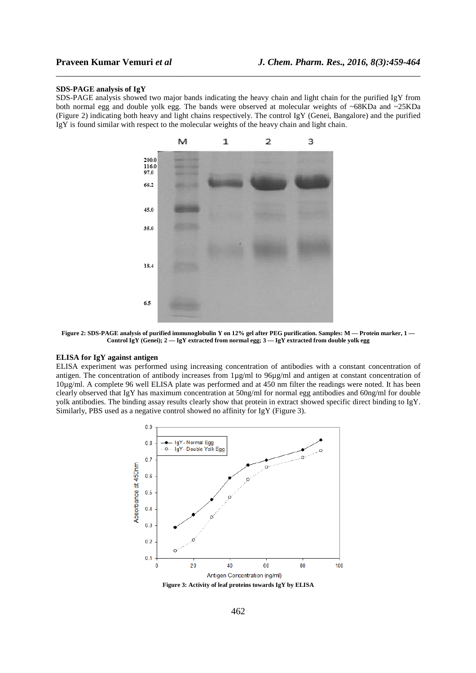#### **SDS-PAGE analysis of IgY**

SDS-PAGE analysis showed two major bands indicating the heavy chain and light chain for the purified IgY from both normal egg and double yolk egg. The bands were observed at molecular weights of ~68KDa and ~25KDa (Figure 2) indicating both heavy and light chains respectively. The control IgY (Genei, Bangalore) and the purified IgY is found similar with respect to the molecular weights of the heavy chain and light chain.

\_\_\_\_\_\_\_\_\_\_\_\_\_\_\_\_\_\_\_\_\_\_\_\_\_\_\_\_\_\_\_\_\_\_\_\_\_\_\_\_\_\_\_\_\_\_\_\_\_\_\_\_\_\_\_\_\_\_\_\_\_\_\_\_\_\_\_\_\_\_\_\_\_\_\_\_\_\_



**Figure 2: SDS-PAGE analysis of purified immunoglobulin Y on 12% gel after PEG purification. Samples: M — Protein marker, 1 — Control IgY (Genei); 2 — IgY extracted from normal egg; 3 — IgY extracted from double yolk egg** 

### **ELISA for IgY against antigen**

ELISA experiment was performed using increasing concentration of antibodies with a constant concentration of antigen. The concentration of antibody increases from 1µg/ml to 96µg/ml and antigen at constant concentration of 10µg/ml. A complete 96 well ELISA plate was performed and at 450 nm filter the readings were noted. It has been clearly observed that IgY has maximum concentration at 50ng/ml for normal egg antibodies and 60ng/ml for double yolk antibodies. The binding assay results clearly show that protein in extract showed specific direct binding to IgY. Similarly, PBS used as a negative control showed no affinity for IgY (Figure 3).

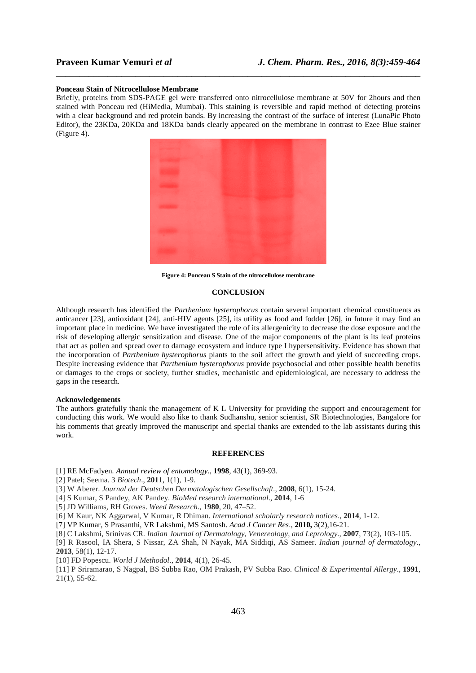#### **Ponceau Stain of Nitrocellulose Membrane**

Briefly, proteins from SDS-PAGE gel were transferred onto nitrocellulose membrane at 50V for 2hours and then stained with Ponceau red (HiMedia, Mumbai). This staining is reversible and rapid method of detecting proteins with a clear background and red protein bands. By increasing the contrast of the surface of interest (LunaPic Photo Editor), the 23KDa, 20KDa and 18KDa bands clearly appeared on the membrane in contrast to Ezee Blue stainer (Figure 4).

\_\_\_\_\_\_\_\_\_\_\_\_\_\_\_\_\_\_\_\_\_\_\_\_\_\_\_\_\_\_\_\_\_\_\_\_\_\_\_\_\_\_\_\_\_\_\_\_\_\_\_\_\_\_\_\_\_\_\_\_\_\_\_\_\_\_\_\_\_\_\_\_\_\_\_\_\_\_



**Figure 4: Ponceau S Stain of the nitrocellulose membrane** 

# **CONCLUSION**

Although research has identified the *Parthenium hysterophorus* contain several important chemical constituents as anticancer [23], antioxidant [24], anti-HIV agents [25], its utility as food and fodder [26], in future it may find an important place in medicine. We have investigated the role of its allergenicity to decrease the dose exposure and the risk of developing allergic sensitization and disease. One of the major components of the plant is its leaf proteins that act as pollen and spread over to damage ecosystem and induce type I hypersensitivity. Evidence has shown that the incorporation of *Parthenium hysterophorus* plants to the soil affect the growth and yield of succeeding crops. Despite increasing evidence that *Parthenium hysterophorus* provide psychosocial and other possible health benefits or damages to the crops or society, further studies, mechanistic and epidemiological, are necessary to address the gaps in the research.

# **Acknowledgements**

The authors gratefully thank the management of K L University for providing the support and encouragement for conducting this work. We would also like to thank Sudhanshu, senior scientist, SR Biotechnologies, Bangalore for his comments that greatly improved the manuscript and special thanks are extended to the lab assistants during this work.

### **REFERENCES**

- [1] RE McFadyen*. Annual review of entomology*., **1998**, 43(1), 369-93.
- [2] Patel; Seema. 3 *Biotech*., **2011**, 1(1), 1-9.
- [3] W Aberer. *Journal der Deutschen Dermatologischen Gesellschaft.,* **2008**, 6(1), 15-24.
- [4] S Kumar, S Pandey, AK Pandey. *BioMed research international*., **2014**, 1-6
- [5] JD Williams, RH Groves. *Weed Research*., **1980**, 20, 47–52.
- [6] M Kaur, NK Aggarwal, V Kumar, R Dhiman. *International scholarly research notices*., **2014**, 1-12.
- [7] VP Kumar, S Prasanthi, VR Lakshmi, MS Santosh. *Acad J Cancer Res*., **2010,** 3(2),16-21.
- [8] C Lakshmi, Srinivas CR. *Indian Journal of Dermatology, Venereology, and Leprology.,* **2007**, 73(2), 103-105.
- [9] R Rasool, IA Shera, S Nissar, ZA Shah, N Nayak, MA Siddiqi, AS Sameer. *Indian journal of dermatology*., **2013**, 58(1), 12-17.
- [10] FD Popescu. *World J Methodol*., **2014**, 4(1), 26-45.

[11] P Sriramarao, S Nagpal, BS Subba Rao, OM Prakash, PV Subba Rao. *Clinical & Experimental Allergy*., **1991**, 21(1), 55-62.